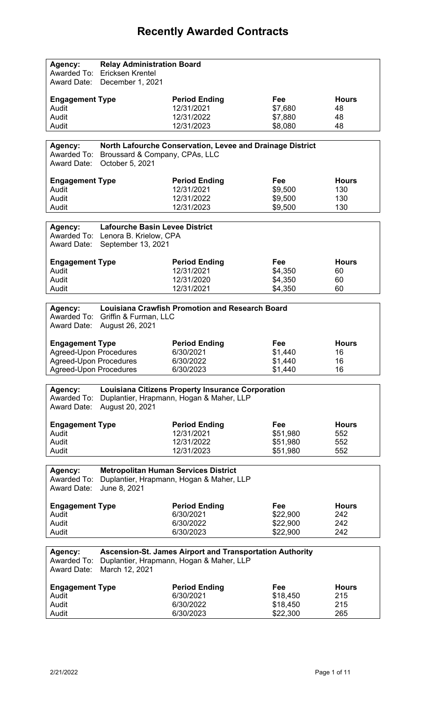## **Recently Awarded Contracts**

| <b>Engagement Type</b><br><b>Period Ending</b><br>Fee<br><b>Hours</b><br>Audit<br>12/31/2021<br>\$7,680<br>48<br>12/31/2022<br>48<br>Audit<br>\$7,880<br>12/31/2023<br>\$8,080<br>Audit<br>48<br>North Lafourche Conservation, Levee and Drainage District<br>Agency:<br>Awarded To:<br>Broussard & Company, CPAs, LLC<br>October 5, 2021<br><b>Award Date:</b><br><b>Engagement Type</b><br><b>Period Ending</b><br>Fee<br><b>Hours</b><br>12/31/2021<br>\$9,500<br>130<br>Audit<br>12/31/2022<br>Audit<br>\$9,500<br>130<br>12/31/2023<br>130<br>\$9,500<br>Audit<br><b>Lafourche Basin Levee District</b><br>Agency:<br>Awarded To: Lenora B. Krielow, CPA<br>Award Date:<br>September 13, 2021<br><b>Engagement Type</b><br><b>Period Ending</b><br>Fee<br><b>Hours</b><br>Audit<br>12/31/2021<br>\$4,350<br>60<br>12/31/2020<br>\$4,350<br>60<br>Audit<br>12/31/2021<br>\$4,350<br>Audit<br>60<br><b>Louisiana Crawfish Promotion and Research Board</b><br>Agency:<br>Awarded To: Griffin & Furman, LLC<br><b>Award Date:</b><br>August 26, 2021<br><b>Engagement Type</b><br><b>Period Ending</b><br><b>Fee</b><br><b>Hours</b><br><b>Agreed-Upon Procedures</b><br>6/30/2021<br>\$1,440<br>16<br><b>Agreed-Upon Procedures</b><br>\$1,440<br>16<br>6/30/2022<br><b>Agreed-Upon Procedures</b><br>6/30/2023<br>\$1,440<br>16<br><b>Louisiana Citizens Property Insurance Corporation</b><br>Agency:<br>Awarded To:<br>Duplantier, Hrapmann, Hogan & Maher, LLP<br>August 20, 2021<br><b>Award Date:</b><br><b>Engagement Type</b><br><b>Period Ending</b><br>Fee<br><b>Hours</b><br>12/31/2021<br>Audit<br>\$51,980<br>552<br>Audit<br>12/31/2022<br>\$51,980<br>552<br>552<br>Audit<br>12/31/2023<br>\$51,980<br><b>Metropolitan Human Services District</b><br>Agency:<br>Awarded To:<br>Duplantier, Hrapmann, Hogan & Maher, LLP<br>June 8, 2021<br><b>Award Date:</b><br><b>Engagement Type</b><br><b>Period Ending</b><br>Fee<br><b>Hours</b><br>6/30/2021<br>Audit<br>\$22,900<br>242<br>6/30/2022<br>\$22,900<br>242<br>Audit<br>6/30/2023<br>\$22,900<br>242<br>Audit<br><b>Ascension-St. James Airport and Transportation Authority</b><br>Agency:<br>Duplantier, Hrapmann, Hogan & Maher, LLP<br>Awarded To:<br>March 12, 2021<br><b>Award Date:</b><br><b>Engagement Type</b><br><b>Period Ending</b><br>Fee<br><b>Hours</b><br>6/30/2021<br>Audit<br>215<br>\$18,450<br>6/30/2022<br>Audit<br>\$18,450<br>215 | Agency:<br>Awarded To:<br>Award Date: | <b>Relay Administration Board</b><br>Ericksen Krentel<br>December 1, 2021 |           |          |     |
|----------------------------------------------------------------------------------------------------------------------------------------------------------------------------------------------------------------------------------------------------------------------------------------------------------------------------------------------------------------------------------------------------------------------------------------------------------------------------------------------------------------------------------------------------------------------------------------------------------------------------------------------------------------------------------------------------------------------------------------------------------------------------------------------------------------------------------------------------------------------------------------------------------------------------------------------------------------------------------------------------------------------------------------------------------------------------------------------------------------------------------------------------------------------------------------------------------------------------------------------------------------------------------------------------------------------------------------------------------------------------------------------------------------------------------------------------------------------------------------------------------------------------------------------------------------------------------------------------------------------------------------------------------------------------------------------------------------------------------------------------------------------------------------------------------------------------------------------------------------------------------------------------------------------------------------------------------------------------------------------------------------------------------------------------------------------------------------------------------------------------------------------------------------------------------------------------------------------------------------------------------------------------------------------------------------------------------------------------------------------------------------------------------------------------------|---------------------------------------|---------------------------------------------------------------------------|-----------|----------|-----|
|                                                                                                                                                                                                                                                                                                                                                                                                                                                                                                                                                                                                                                                                                                                                                                                                                                                                                                                                                                                                                                                                                                                                                                                                                                                                                                                                                                                                                                                                                                                                                                                                                                                                                                                                                                                                                                                                                                                                                                                                                                                                                                                                                                                                                                                                                                                                                                                                                                  |                                       |                                                                           |           |          |     |
|                                                                                                                                                                                                                                                                                                                                                                                                                                                                                                                                                                                                                                                                                                                                                                                                                                                                                                                                                                                                                                                                                                                                                                                                                                                                                                                                                                                                                                                                                                                                                                                                                                                                                                                                                                                                                                                                                                                                                                                                                                                                                                                                                                                                                                                                                                                                                                                                                                  |                                       |                                                                           |           |          |     |
|                                                                                                                                                                                                                                                                                                                                                                                                                                                                                                                                                                                                                                                                                                                                                                                                                                                                                                                                                                                                                                                                                                                                                                                                                                                                                                                                                                                                                                                                                                                                                                                                                                                                                                                                                                                                                                                                                                                                                                                                                                                                                                                                                                                                                                                                                                                                                                                                                                  |                                       |                                                                           |           |          |     |
|                                                                                                                                                                                                                                                                                                                                                                                                                                                                                                                                                                                                                                                                                                                                                                                                                                                                                                                                                                                                                                                                                                                                                                                                                                                                                                                                                                                                                                                                                                                                                                                                                                                                                                                                                                                                                                                                                                                                                                                                                                                                                                                                                                                                                                                                                                                                                                                                                                  |                                       |                                                                           |           |          |     |
|                                                                                                                                                                                                                                                                                                                                                                                                                                                                                                                                                                                                                                                                                                                                                                                                                                                                                                                                                                                                                                                                                                                                                                                                                                                                                                                                                                                                                                                                                                                                                                                                                                                                                                                                                                                                                                                                                                                                                                                                                                                                                                                                                                                                                                                                                                                                                                                                                                  |                                       |                                                                           |           |          |     |
|                                                                                                                                                                                                                                                                                                                                                                                                                                                                                                                                                                                                                                                                                                                                                                                                                                                                                                                                                                                                                                                                                                                                                                                                                                                                                                                                                                                                                                                                                                                                                                                                                                                                                                                                                                                                                                                                                                                                                                                                                                                                                                                                                                                                                                                                                                                                                                                                                                  |                                       |                                                                           |           |          |     |
|                                                                                                                                                                                                                                                                                                                                                                                                                                                                                                                                                                                                                                                                                                                                                                                                                                                                                                                                                                                                                                                                                                                                                                                                                                                                                                                                                                                                                                                                                                                                                                                                                                                                                                                                                                                                                                                                                                                                                                                                                                                                                                                                                                                                                                                                                                                                                                                                                                  |                                       |                                                                           |           |          |     |
|                                                                                                                                                                                                                                                                                                                                                                                                                                                                                                                                                                                                                                                                                                                                                                                                                                                                                                                                                                                                                                                                                                                                                                                                                                                                                                                                                                                                                                                                                                                                                                                                                                                                                                                                                                                                                                                                                                                                                                                                                                                                                                                                                                                                                                                                                                                                                                                                                                  |                                       |                                                                           |           |          |     |
|                                                                                                                                                                                                                                                                                                                                                                                                                                                                                                                                                                                                                                                                                                                                                                                                                                                                                                                                                                                                                                                                                                                                                                                                                                                                                                                                                                                                                                                                                                                                                                                                                                                                                                                                                                                                                                                                                                                                                                                                                                                                                                                                                                                                                                                                                                                                                                                                                                  |                                       |                                                                           |           |          |     |
|                                                                                                                                                                                                                                                                                                                                                                                                                                                                                                                                                                                                                                                                                                                                                                                                                                                                                                                                                                                                                                                                                                                                                                                                                                                                                                                                                                                                                                                                                                                                                                                                                                                                                                                                                                                                                                                                                                                                                                                                                                                                                                                                                                                                                                                                                                                                                                                                                                  |                                       |                                                                           |           |          |     |
|                                                                                                                                                                                                                                                                                                                                                                                                                                                                                                                                                                                                                                                                                                                                                                                                                                                                                                                                                                                                                                                                                                                                                                                                                                                                                                                                                                                                                                                                                                                                                                                                                                                                                                                                                                                                                                                                                                                                                                                                                                                                                                                                                                                                                                                                                                                                                                                                                                  |                                       |                                                                           |           |          |     |
|                                                                                                                                                                                                                                                                                                                                                                                                                                                                                                                                                                                                                                                                                                                                                                                                                                                                                                                                                                                                                                                                                                                                                                                                                                                                                                                                                                                                                                                                                                                                                                                                                                                                                                                                                                                                                                                                                                                                                                                                                                                                                                                                                                                                                                                                                                                                                                                                                                  |                                       |                                                                           |           |          |     |
|                                                                                                                                                                                                                                                                                                                                                                                                                                                                                                                                                                                                                                                                                                                                                                                                                                                                                                                                                                                                                                                                                                                                                                                                                                                                                                                                                                                                                                                                                                                                                                                                                                                                                                                                                                                                                                                                                                                                                                                                                                                                                                                                                                                                                                                                                                                                                                                                                                  |                                       |                                                                           |           |          |     |
|                                                                                                                                                                                                                                                                                                                                                                                                                                                                                                                                                                                                                                                                                                                                                                                                                                                                                                                                                                                                                                                                                                                                                                                                                                                                                                                                                                                                                                                                                                                                                                                                                                                                                                                                                                                                                                                                                                                                                                                                                                                                                                                                                                                                                                                                                                                                                                                                                                  |                                       |                                                                           |           |          |     |
|                                                                                                                                                                                                                                                                                                                                                                                                                                                                                                                                                                                                                                                                                                                                                                                                                                                                                                                                                                                                                                                                                                                                                                                                                                                                                                                                                                                                                                                                                                                                                                                                                                                                                                                                                                                                                                                                                                                                                                                                                                                                                                                                                                                                                                                                                                                                                                                                                                  |                                       |                                                                           |           |          |     |
|                                                                                                                                                                                                                                                                                                                                                                                                                                                                                                                                                                                                                                                                                                                                                                                                                                                                                                                                                                                                                                                                                                                                                                                                                                                                                                                                                                                                                                                                                                                                                                                                                                                                                                                                                                                                                                                                                                                                                                                                                                                                                                                                                                                                                                                                                                                                                                                                                                  |                                       |                                                                           |           |          |     |
|                                                                                                                                                                                                                                                                                                                                                                                                                                                                                                                                                                                                                                                                                                                                                                                                                                                                                                                                                                                                                                                                                                                                                                                                                                                                                                                                                                                                                                                                                                                                                                                                                                                                                                                                                                                                                                                                                                                                                                                                                                                                                                                                                                                                                                                                                                                                                                                                                                  |                                       |                                                                           |           |          |     |
|                                                                                                                                                                                                                                                                                                                                                                                                                                                                                                                                                                                                                                                                                                                                                                                                                                                                                                                                                                                                                                                                                                                                                                                                                                                                                                                                                                                                                                                                                                                                                                                                                                                                                                                                                                                                                                                                                                                                                                                                                                                                                                                                                                                                                                                                                                                                                                                                                                  |                                       |                                                                           |           |          |     |
|                                                                                                                                                                                                                                                                                                                                                                                                                                                                                                                                                                                                                                                                                                                                                                                                                                                                                                                                                                                                                                                                                                                                                                                                                                                                                                                                                                                                                                                                                                                                                                                                                                                                                                                                                                                                                                                                                                                                                                                                                                                                                                                                                                                                                                                                                                                                                                                                                                  |                                       |                                                                           |           |          |     |
|                                                                                                                                                                                                                                                                                                                                                                                                                                                                                                                                                                                                                                                                                                                                                                                                                                                                                                                                                                                                                                                                                                                                                                                                                                                                                                                                                                                                                                                                                                                                                                                                                                                                                                                                                                                                                                                                                                                                                                                                                                                                                                                                                                                                                                                                                                                                                                                                                                  |                                       |                                                                           |           |          |     |
|                                                                                                                                                                                                                                                                                                                                                                                                                                                                                                                                                                                                                                                                                                                                                                                                                                                                                                                                                                                                                                                                                                                                                                                                                                                                                                                                                                                                                                                                                                                                                                                                                                                                                                                                                                                                                                                                                                                                                                                                                                                                                                                                                                                                                                                                                                                                                                                                                                  |                                       |                                                                           |           |          |     |
|                                                                                                                                                                                                                                                                                                                                                                                                                                                                                                                                                                                                                                                                                                                                                                                                                                                                                                                                                                                                                                                                                                                                                                                                                                                                                                                                                                                                                                                                                                                                                                                                                                                                                                                                                                                                                                                                                                                                                                                                                                                                                                                                                                                                                                                                                                                                                                                                                                  |                                       |                                                                           |           |          |     |
|                                                                                                                                                                                                                                                                                                                                                                                                                                                                                                                                                                                                                                                                                                                                                                                                                                                                                                                                                                                                                                                                                                                                                                                                                                                                                                                                                                                                                                                                                                                                                                                                                                                                                                                                                                                                                                                                                                                                                                                                                                                                                                                                                                                                                                                                                                                                                                                                                                  |                                       |                                                                           |           |          |     |
|                                                                                                                                                                                                                                                                                                                                                                                                                                                                                                                                                                                                                                                                                                                                                                                                                                                                                                                                                                                                                                                                                                                                                                                                                                                                                                                                                                                                                                                                                                                                                                                                                                                                                                                                                                                                                                                                                                                                                                                                                                                                                                                                                                                                                                                                                                                                                                                                                                  |                                       |                                                                           |           |          |     |
|                                                                                                                                                                                                                                                                                                                                                                                                                                                                                                                                                                                                                                                                                                                                                                                                                                                                                                                                                                                                                                                                                                                                                                                                                                                                                                                                                                                                                                                                                                                                                                                                                                                                                                                                                                                                                                                                                                                                                                                                                                                                                                                                                                                                                                                                                                                                                                                                                                  |                                       |                                                                           |           |          |     |
|                                                                                                                                                                                                                                                                                                                                                                                                                                                                                                                                                                                                                                                                                                                                                                                                                                                                                                                                                                                                                                                                                                                                                                                                                                                                                                                                                                                                                                                                                                                                                                                                                                                                                                                                                                                                                                                                                                                                                                                                                                                                                                                                                                                                                                                                                                                                                                                                                                  |                                       |                                                                           |           |          |     |
|                                                                                                                                                                                                                                                                                                                                                                                                                                                                                                                                                                                                                                                                                                                                                                                                                                                                                                                                                                                                                                                                                                                                                                                                                                                                                                                                                                                                                                                                                                                                                                                                                                                                                                                                                                                                                                                                                                                                                                                                                                                                                                                                                                                                                                                                                                                                                                                                                                  |                                       |                                                                           |           |          |     |
|                                                                                                                                                                                                                                                                                                                                                                                                                                                                                                                                                                                                                                                                                                                                                                                                                                                                                                                                                                                                                                                                                                                                                                                                                                                                                                                                                                                                                                                                                                                                                                                                                                                                                                                                                                                                                                                                                                                                                                                                                                                                                                                                                                                                                                                                                                                                                                                                                                  |                                       |                                                                           |           |          |     |
|                                                                                                                                                                                                                                                                                                                                                                                                                                                                                                                                                                                                                                                                                                                                                                                                                                                                                                                                                                                                                                                                                                                                                                                                                                                                                                                                                                                                                                                                                                                                                                                                                                                                                                                                                                                                                                                                                                                                                                                                                                                                                                                                                                                                                                                                                                                                                                                                                                  |                                       |                                                                           |           |          |     |
|                                                                                                                                                                                                                                                                                                                                                                                                                                                                                                                                                                                                                                                                                                                                                                                                                                                                                                                                                                                                                                                                                                                                                                                                                                                                                                                                                                                                                                                                                                                                                                                                                                                                                                                                                                                                                                                                                                                                                                                                                                                                                                                                                                                                                                                                                                                                                                                                                                  |                                       |                                                                           |           |          |     |
|                                                                                                                                                                                                                                                                                                                                                                                                                                                                                                                                                                                                                                                                                                                                                                                                                                                                                                                                                                                                                                                                                                                                                                                                                                                                                                                                                                                                                                                                                                                                                                                                                                                                                                                                                                                                                                                                                                                                                                                                                                                                                                                                                                                                                                                                                                                                                                                                                                  |                                       |                                                                           |           |          |     |
|                                                                                                                                                                                                                                                                                                                                                                                                                                                                                                                                                                                                                                                                                                                                                                                                                                                                                                                                                                                                                                                                                                                                                                                                                                                                                                                                                                                                                                                                                                                                                                                                                                                                                                                                                                                                                                                                                                                                                                                                                                                                                                                                                                                                                                                                                                                                                                                                                                  |                                       |                                                                           |           |          |     |
|                                                                                                                                                                                                                                                                                                                                                                                                                                                                                                                                                                                                                                                                                                                                                                                                                                                                                                                                                                                                                                                                                                                                                                                                                                                                                                                                                                                                                                                                                                                                                                                                                                                                                                                                                                                                                                                                                                                                                                                                                                                                                                                                                                                                                                                                                                                                                                                                                                  |                                       |                                                                           |           |          |     |
|                                                                                                                                                                                                                                                                                                                                                                                                                                                                                                                                                                                                                                                                                                                                                                                                                                                                                                                                                                                                                                                                                                                                                                                                                                                                                                                                                                                                                                                                                                                                                                                                                                                                                                                                                                                                                                                                                                                                                                                                                                                                                                                                                                                                                                                                                                                                                                                                                                  |                                       |                                                                           |           |          |     |
|                                                                                                                                                                                                                                                                                                                                                                                                                                                                                                                                                                                                                                                                                                                                                                                                                                                                                                                                                                                                                                                                                                                                                                                                                                                                                                                                                                                                                                                                                                                                                                                                                                                                                                                                                                                                                                                                                                                                                                                                                                                                                                                                                                                                                                                                                                                                                                                                                                  |                                       |                                                                           |           |          |     |
|                                                                                                                                                                                                                                                                                                                                                                                                                                                                                                                                                                                                                                                                                                                                                                                                                                                                                                                                                                                                                                                                                                                                                                                                                                                                                                                                                                                                                                                                                                                                                                                                                                                                                                                                                                                                                                                                                                                                                                                                                                                                                                                                                                                                                                                                                                                                                                                                                                  |                                       |                                                                           |           |          |     |
|                                                                                                                                                                                                                                                                                                                                                                                                                                                                                                                                                                                                                                                                                                                                                                                                                                                                                                                                                                                                                                                                                                                                                                                                                                                                                                                                                                                                                                                                                                                                                                                                                                                                                                                                                                                                                                                                                                                                                                                                                                                                                                                                                                                                                                                                                                                                                                                                                                  |                                       |                                                                           |           |          |     |
|                                                                                                                                                                                                                                                                                                                                                                                                                                                                                                                                                                                                                                                                                                                                                                                                                                                                                                                                                                                                                                                                                                                                                                                                                                                                                                                                                                                                                                                                                                                                                                                                                                                                                                                                                                                                                                                                                                                                                                                                                                                                                                                                                                                                                                                                                                                                                                                                                                  |                                       |                                                                           |           |          |     |
|                                                                                                                                                                                                                                                                                                                                                                                                                                                                                                                                                                                                                                                                                                                                                                                                                                                                                                                                                                                                                                                                                                                                                                                                                                                                                                                                                                                                                                                                                                                                                                                                                                                                                                                                                                                                                                                                                                                                                                                                                                                                                                                                                                                                                                                                                                                                                                                                                                  |                                       |                                                                           |           |          |     |
|                                                                                                                                                                                                                                                                                                                                                                                                                                                                                                                                                                                                                                                                                                                                                                                                                                                                                                                                                                                                                                                                                                                                                                                                                                                                                                                                                                                                                                                                                                                                                                                                                                                                                                                                                                                                                                                                                                                                                                                                                                                                                                                                                                                                                                                                                                                                                                                                                                  | Audit                                 |                                                                           | 6/30/2023 | \$22,300 | 265 |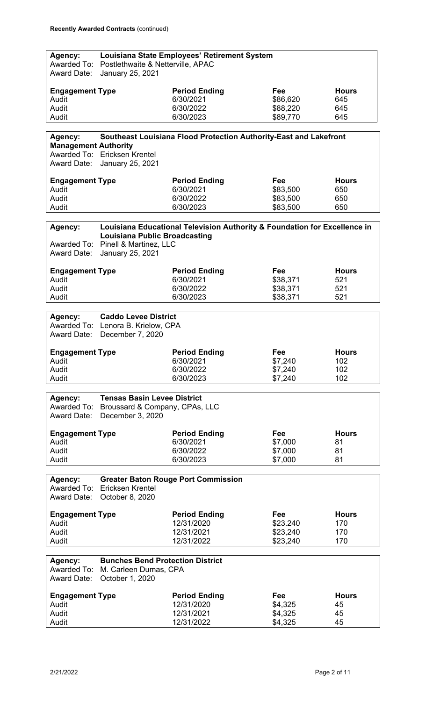| Agency:                                |                                            | Louisiana State Employees' Retirement System                              |                 |                     |
|----------------------------------------|--------------------------------------------|---------------------------------------------------------------------------|-----------------|---------------------|
| Awarded To:                            | Postlethwaite & Netterville, APAC          |                                                                           |                 |                     |
| <b>Award Date:</b>                     | January 25, 2021                           |                                                                           |                 |                     |
| <b>Engagement Type</b>                 |                                            | <b>Period Ending</b>                                                      | Fee             | <b>Hours</b>        |
| Audit                                  |                                            | 6/30/2021                                                                 | \$86,620        | 645                 |
| Audit                                  |                                            | 6/30/2022                                                                 | \$88,220        | 645                 |
| Audit                                  |                                            | 6/30/2023                                                                 | \$89,770        | 645                 |
|                                        |                                            |                                                                           |                 |                     |
| Agency:<br><b>Management Authority</b> |                                            | Southeast Louisiana Flood Protection Authority-East and Lakefront         |                 |                     |
|                                        | Awarded To: Ericksen Krentel               |                                                                           |                 |                     |
| Award Date:                            | January 25, 2021                           |                                                                           |                 |                     |
| <b>Engagement Type</b>                 |                                            | <b>Period Ending</b>                                                      | Fee             | <b>Hours</b>        |
| Audit                                  |                                            | 6/30/2021                                                                 | \$83,500        | 650                 |
| Audit                                  |                                            | 6/30/2022                                                                 | \$83,500        | 650                 |
| Audit                                  |                                            | 6/30/2023                                                                 | \$83,500        | 650                 |
|                                        |                                            |                                                                           |                 |                     |
| Agency:                                | <b>Louisiana Public Broadcasting</b>       | Louisiana Educational Television Authority & Foundation for Excellence in |                 |                     |
|                                        | Awarded To: Pinell & Martinez, LLC         |                                                                           |                 |                     |
| <b>Award Date:</b>                     | January 25, 2021                           |                                                                           |                 |                     |
|                                        |                                            |                                                                           |                 |                     |
| <b>Engagement Type</b><br>Audit        |                                            | <b>Period Ending</b><br>6/30/2021                                         | Fee<br>\$38,371 | <b>Hours</b><br>521 |
| Audit                                  |                                            | 6/30/2022                                                                 | \$38,371        | 521                 |
| Audit                                  |                                            | 6/30/2023                                                                 | \$38,371        | 521                 |
|                                        |                                            |                                                                           |                 |                     |
| Agency:                                | <b>Caddo Levee District</b>                |                                                                           |                 |                     |
|                                        | Awarded To: Lenora B. Krielow, CPA         |                                                                           |                 |                     |
| <b>Award Date:</b>                     | December 7, 2020                           |                                                                           |                 |                     |
| <b>Engagement Type</b>                 |                                            | <b>Period Ending</b>                                                      | Fee             | <b>Hours</b>        |
| Audit                                  |                                            | 6/30/2021                                                                 | \$7,240         | 102                 |
| Audit                                  |                                            | 6/30/2022                                                                 | \$7,240         | 102                 |
| Audit                                  |                                            | 6/30/2023                                                                 | \$7,240         | 102                 |
| Agency:                                | <b>Tensas Basin Levee District</b>         |                                                                           |                 |                     |
|                                        | Awarded To: Broussard & Company, CPAs, LLC |                                                                           |                 |                     |
| <b>Award Date:</b>                     | December 3, 2020                           |                                                                           |                 |                     |
|                                        |                                            |                                                                           |                 |                     |
| <b>Engagement Type</b><br>Audit        |                                            | <b>Period Ending</b><br>6/30/2021                                         | Fee<br>\$7,000  | <b>Hours</b><br>81  |
| Audit                                  |                                            | 6/30/2022                                                                 | \$7,000         | 81                  |
| Audit                                  |                                            | 6/30/2023                                                                 | \$7,000         | 81                  |
|                                        |                                            |                                                                           |                 |                     |
| Agency:                                |                                            | <b>Greater Baton Rouge Port Commission</b>                                |                 |                     |
|                                        | Awarded To: Ericksen Krentel               |                                                                           |                 |                     |
| Award Date:                            | October 8, 2020                            |                                                                           |                 |                     |
| <b>Engagement Type</b>                 |                                            | <b>Period Ending</b>                                                      | Fee             | <b>Hours</b>        |
| Audit                                  |                                            | 12/31/2020                                                                | \$23.240        | 170                 |
| Audit                                  |                                            | 12/31/2021                                                                | \$23,240        | 170                 |
| Audit                                  |                                            | 12/31/2022                                                                | \$23,240        | 170                 |
| Agency:                                | <b>Bunches Bend Protection District</b>    |                                                                           |                 |                     |
| Awarded To:                            | M. Carleen Dumas, CPA                      |                                                                           |                 |                     |
| <b>Award Date:</b>                     | October 1, 2020                            |                                                                           |                 |                     |
|                                        |                                            | <b>Period Ending</b>                                                      | Fee             | <b>Hours</b>        |
| <b>Engagement Type</b><br>Audit        |                                            | 12/31/2020                                                                | \$4,325         | 45                  |
| Audit                                  |                                            | 12/31/2021                                                                | \$4,325         | 45                  |
| Audit                                  |                                            | 12/31/2022                                                                | \$4,325         | 45                  |
|                                        |                                            |                                                                           |                 |                     |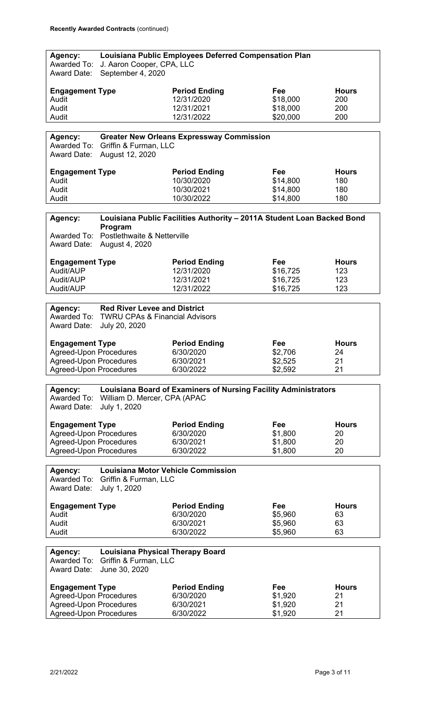| Agency:                       |                                                | <b>Louisiana Public Employees Deferred Compensation Plan</b>           |          |              |
|-------------------------------|------------------------------------------------|------------------------------------------------------------------------|----------|--------------|
| Awarded To:<br>Award Date:    | J. Aaron Cooper, CPA, LLC<br>September 4, 2020 |                                                                        |          |              |
| <b>Engagement Type</b>        |                                                | <b>Period Ending</b>                                                   | Fee      | <b>Hours</b> |
| Audit                         |                                                | 12/31/2020                                                             | \$18,000 | 200          |
| Audit                         |                                                | 12/31/2021                                                             | \$18,000 | 200          |
| Audit                         |                                                | 12/31/2022                                                             | \$20,000 | 200          |
|                               |                                                |                                                                        |          |              |
| Agency:                       |                                                | <b>Greater New Orleans Expressway Commission</b>                       |          |              |
|                               | Awarded To: Griffin & Furman, LLC              |                                                                        |          |              |
| <b>Award Date:</b>            | August 12, 2020                                |                                                                        |          |              |
| <b>Engagement Type</b>        |                                                | <b>Period Ending</b>                                                   | Fee      | <b>Hours</b> |
| Audit                         |                                                | 10/30/2020                                                             | \$14,800 | 180          |
| Audit                         |                                                | 10/30/2021                                                             | \$14,800 | 180          |
| Audit                         |                                                | 10/30/2022                                                             | \$14,800 | 180          |
|                               |                                                |                                                                        |          |              |
| Agency:                       | Program                                        | Louisiana Public Facilities Authority - 2011A Student Loan Backed Bond |          |              |
| Awarded To:                   | Postlethwaite & Netterville                    |                                                                        |          |              |
| <b>Award Date:</b>            | August 4, 2020                                 |                                                                        |          |              |
|                               |                                                |                                                                        |          |              |
| <b>Engagement Type</b>        |                                                | <b>Period Ending</b>                                                   | Fee      | <b>Hours</b> |
| Audit/AUP                     |                                                | 12/31/2020                                                             | \$16,725 | 123          |
| Audit/AUP                     |                                                | 12/31/2021                                                             | \$16,725 | 123          |
| Audit/AUP                     |                                                | 12/31/2022                                                             | \$16,725 | 123          |
|                               |                                                |                                                                        |          |              |
| Agency:                       | <b>Red River Levee and District</b>            |                                                                        |          |              |
|                               | Awarded To: TWRU CPAs & Financial Advisors     |                                                                        |          |              |
| <b>Award Date:</b>            | July 20, 2020                                  |                                                                        |          |              |
| <b>Engagement Type</b>        |                                                | <b>Period Ending</b>                                                   | Fee      | <b>Hours</b> |
| <b>Agreed-Upon Procedures</b> |                                                | 6/30/2020                                                              | \$2,706  | 24           |
| Agreed-Upon Procedures        |                                                | 6/30/2021                                                              | \$2,525  | 21           |
| <b>Agreed-Upon Procedures</b> |                                                | 6/30/2022                                                              | \$2,592  | 21           |
|                               |                                                |                                                                        |          |              |
| Agency:                       |                                                | <b>Louisiana Board of Examiners of Nursing Facility Administrators</b> |          |              |
| Awarded To:                   | William D. Mercer, CPA (APAC                   |                                                                        |          |              |
| <b>Award Date:</b>            | July 1, 2020                                   |                                                                        |          |              |
|                               |                                                |                                                                        |          |              |
| <b>Engagement Type</b>        |                                                | <b>Period Ending</b>                                                   | Fee      | <b>Hours</b> |
| <b>Agreed-Upon Procedures</b> |                                                | 6/30/2020                                                              | \$1,800  | 20           |
| <b>Agreed-Upon Procedures</b> |                                                | 6/30/2021                                                              | \$1,800  | 20           |
| <b>Agreed-Upon Procedures</b> |                                                | 6/30/2022                                                              | \$1,800  | 20           |
|                               |                                                |                                                                        |          |              |
| Agency:                       |                                                | Louisiana Motor Vehicle Commission                                     |          |              |
|                               | Awarded To: Griffin & Furman, LLC              |                                                                        |          |              |
| <b>Award Date:</b>            | July 1, 2020                                   |                                                                        |          |              |
| <b>Engagement Type</b>        |                                                | <b>Period Ending</b>                                                   | Fee      | <b>Hours</b> |
| Audit                         |                                                | 6/30/2020                                                              | \$5,960  | 63           |
| Audit                         |                                                | 6/30/2021                                                              | \$5,960  | 63           |
| Audit                         |                                                | 6/30/2022                                                              | \$5,960  | 63           |
|                               |                                                |                                                                        |          |              |
| Agency:                       | <b>Louisiana Physical Therapy Board</b>        |                                                                        |          |              |
| Awarded To:                   | Griffin & Furman, LLC                          |                                                                        |          |              |
| <b>Award Date:</b>            | June 30, 2020                                  |                                                                        |          |              |
| <b>Engagement Type</b>        |                                                | <b>Period Ending</b>                                                   | Fee      | <b>Hours</b> |
| <b>Agreed-Upon Procedures</b> |                                                | 6/30/2020                                                              | \$1,920  | 21           |
| <b>Agreed-Upon Procedures</b> |                                                | 6/30/2021                                                              | \$1,920  | 21           |
|                               | <b>Agreed-Upon Procedures</b>                  | 6/30/2022                                                              | \$1,920  | 21           |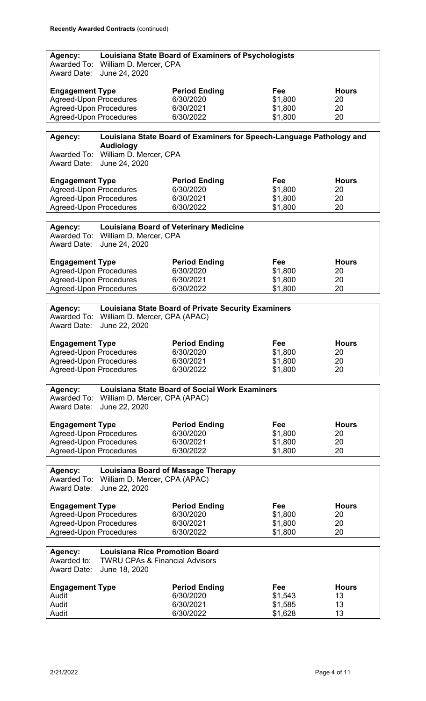| Agency:<br>Awarded To:        |                                           | Louisiana State Board of Examiners of Psychologists                  |         |              |
|-------------------------------|-------------------------------------------|----------------------------------------------------------------------|---------|--------------|
| <b>Award Date:</b>            | William D. Mercer, CPA<br>June 24, 2020   |                                                                      |         |              |
| <b>Engagement Type</b>        |                                           | <b>Period Ending</b>                                                 | Fee     | <b>Hours</b> |
| <b>Agreed-Upon Procedures</b> |                                           | 6/30/2020                                                            | \$1,800 | 20           |
| <b>Agreed-Upon Procedures</b> |                                           | 6/30/2021                                                            | \$1,800 | 20           |
| <b>Agreed-Upon Procedures</b> |                                           | 6/30/2022                                                            | \$1,800 | 20           |
|                               |                                           |                                                                      |         |              |
| Agency:                       | <b>Audiology</b>                          | Louisiana State Board of Examiners for Speech-Language Pathology and |         |              |
| Awarded To:                   | William D. Mercer, CPA                    |                                                                      |         |              |
| Award Date:                   | June 24, 2020                             |                                                                      |         |              |
| <b>Engagement Type</b>        |                                           | <b>Period Ending</b>                                                 | Fee     | <b>Hours</b> |
| <b>Agreed-Upon Procedures</b> |                                           | 6/30/2020                                                            | \$1,800 | 20           |
| <b>Agreed-Upon Procedures</b> |                                           | 6/30/2021                                                            | \$1,800 | 20           |
| <b>Agreed-Upon Procedures</b> |                                           | 6/30/2022                                                            | \$1,800 | 20           |
|                               |                                           |                                                                      |         |              |
| Agency:                       |                                           | <b>Louisiana Board of Veterinary Medicine</b>                        |         |              |
|                               | Awarded To: William D. Mercer, CPA        |                                                                      |         |              |
| <b>Award Date:</b>            | June 24, 2020                             |                                                                      |         |              |
|                               |                                           |                                                                      |         |              |
| <b>Engagement Type</b>        |                                           | <b>Period Ending</b>                                                 | Fee     | <b>Hours</b> |
| <b>Agreed-Upon Procedures</b> |                                           | 6/30/2020                                                            | \$1,800 | 20           |
| <b>Agreed-Upon Procedures</b> |                                           | 6/30/2021                                                            | \$1,800 | 20           |
| <b>Agreed-Upon Procedures</b> |                                           | 6/30/2022                                                            | \$1,800 | 20           |
|                               |                                           |                                                                      |         |              |
| Agency:                       |                                           | <b>Louisiana State Board of Private Security Examiners</b>           |         |              |
| Awarded To:                   | William D. Mercer, CPA (APAC)             |                                                                      |         |              |
| <b>Award Date:</b>            | June 22, 2020                             |                                                                      |         |              |
| <b>Engagement Type</b>        |                                           | <b>Period Ending</b>                                                 | Fee     | <b>Hours</b> |
| <b>Agreed-Upon Procedures</b> |                                           | 6/30/2020                                                            | \$1,800 | 20           |
| Agreed-Upon Procedures        |                                           | 6/30/2021                                                            | \$1,800 | 20           |
| <b>Agreed-Upon Procedures</b> |                                           | 6/30/2022                                                            | \$1,800 | 20           |
|                               |                                           |                                                                      |         |              |
| Agency:                       |                                           | <b>Louisiana State Board of Social Work Examiners</b>                |         |              |
|                               | Awarded To: William D. Mercer, CPA (APAC) |                                                                      |         |              |
| <b>Award Date:</b>            | June 22, 2020                             |                                                                      |         |              |
|                               |                                           |                                                                      |         |              |
| <b>Engagement Type</b>        |                                           | <b>Period Ending</b>                                                 | Fee     | <b>Hours</b> |
| <b>Agreed-Upon Procedures</b> |                                           | 6/30/2020                                                            | \$1,800 | 20           |
| <b>Agreed-Upon Procedures</b> |                                           | 6/30/2021                                                            | \$1,800 | 20           |
| <b>Agreed-Upon Procedures</b> |                                           | 6/30/2022                                                            | \$1,800 | 20           |
|                               |                                           |                                                                      |         |              |
| Agency:                       |                                           | <b>Louisiana Board of Massage Therapy</b>                            |         |              |
| Awarded To:                   | William D. Mercer, CPA (APAC)             |                                                                      |         |              |
| <b>Award Date:</b>            | June 22, 2020                             |                                                                      |         |              |
|                               |                                           |                                                                      |         |              |
| <b>Engagement Type</b>        |                                           | <b>Period Ending</b>                                                 | Fee     | <b>Hours</b> |
| <b>Agreed-Upon Procedures</b> |                                           | 6/30/2020                                                            | \$1,800 | 20           |
| <b>Agreed-Upon Procedures</b> |                                           | 6/30/2021                                                            | \$1,800 | 20           |
| <b>Agreed-Upon Procedures</b> |                                           | 6/30/2022                                                            | \$1,800 | 20           |
|                               |                                           |                                                                      |         |              |
| Agency:                       | <b>Louisiana Rice Promotion Board</b>     |                                                                      |         |              |
| Awarded to:                   | <b>TWRU CPAs &amp; Financial Advisors</b> |                                                                      |         |              |
| <b>Award Date:</b>            | June 18, 2020                             |                                                                      |         |              |
|                               |                                           |                                                                      |         |              |
| <b>Engagement Type</b>        |                                           | <b>Period Ending</b>                                                 | Fee     | <b>Hours</b> |
| Audit                         |                                           | 6/30/2020                                                            | \$1,543 | 13           |
| Audit                         |                                           | 6/30/2021                                                            | \$1,585 | 13           |
| Audit                         |                                           | 6/30/2022                                                            | \$1,628 | 13           |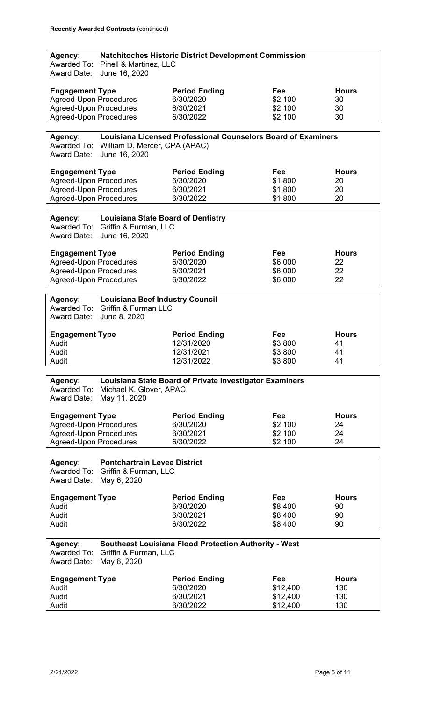| Agency:                       |                                           | <b>Natchitoches Historic District Development Commission</b>         |                      |              |
|-------------------------------|-------------------------------------------|----------------------------------------------------------------------|----------------------|--------------|
| Awarded To:                   | Pinell & Martinez, LLC                    |                                                                      |                      |              |
| <b>Award Date:</b>            | June 16, 2020                             |                                                                      |                      |              |
|                               |                                           |                                                                      |                      |              |
|                               |                                           |                                                                      |                      |              |
| <b>Engagement Type</b>        |                                           | <b>Period Ending</b>                                                 | Fee                  | <b>Hours</b> |
| <b>Agreed-Upon Procedures</b> |                                           | 6/30/2020                                                            | \$2,100              | 30           |
| <b>Agreed-Upon Procedures</b> |                                           | 6/30/2021                                                            | \$2,100              | 30           |
|                               |                                           |                                                                      |                      |              |
| <b>Agreed-Upon Procedures</b> |                                           | 6/30/2022                                                            | \$2,100              | 30           |
|                               |                                           |                                                                      |                      |              |
| Agency:                       |                                           | <b>Louisiana Licensed Professional Counselors Board of Examiners</b> |                      |              |
|                               |                                           |                                                                      |                      |              |
|                               | Awarded To: William D. Mercer, CPA (APAC) |                                                                      |                      |              |
| <b>Award Date:</b>            | June 16, 2020                             |                                                                      |                      |              |
|                               |                                           |                                                                      |                      |              |
| <b>Engagement Type</b>        |                                           | <b>Period Ending</b>                                                 | Fee                  | <b>Hours</b> |
| <b>Agreed-Upon Procedures</b> |                                           | 6/30/2020                                                            | \$1,800              | 20           |
|                               |                                           |                                                                      |                      |              |
| <b>Agreed-Upon Procedures</b> |                                           | 6/30/2021                                                            | \$1,800              | 20           |
| <b>Agreed-Upon Procedures</b> |                                           | 6/30/2022                                                            | \$1,800              | 20           |
|                               |                                           |                                                                      |                      |              |
| Agency:                       | <b>Louisiana State Board of Dentistry</b> |                                                                      |                      |              |
|                               |                                           |                                                                      |                      |              |
|                               | Awarded To: Griffin & Furman, LLC         |                                                                      |                      |              |
| <b>Award Date:</b>            | June 16, 2020                             |                                                                      |                      |              |
|                               |                                           |                                                                      |                      |              |
| <b>Engagement Type</b>        |                                           | <b>Period Ending</b>                                                 | Fee                  | <b>Hours</b> |
| <b>Agreed-Upon Procedures</b> |                                           | 6/30/2020                                                            | \$6,000              | 22           |
| <b>Agreed-Upon Procedures</b> |                                           | 6/30/2021                                                            | \$6,000              | 22           |
|                               |                                           |                                                                      |                      |              |
| <b>Agreed-Upon Procedures</b> |                                           | 6/30/2022                                                            | \$6,000              | 22           |
|                               |                                           |                                                                      |                      |              |
| Agency:                       | <b>Louisiana Beef Industry Council</b>    |                                                                      |                      |              |
| Awarded To:                   | Griffin & Furman LLC                      |                                                                      |                      |              |
| <b>Award Date:</b>            |                                           |                                                                      |                      |              |
|                               | June 8, 2020                              |                                                                      |                      |              |
|                               |                                           |                                                                      |                      |              |
|                               |                                           |                                                                      |                      |              |
| <b>Engagement Type</b>        |                                           | <b>Period Ending</b>                                                 | Fee                  | <b>Hours</b> |
| Audit                         |                                           | 12/31/2020                                                           |                      | 41           |
|                               |                                           |                                                                      | \$3,800              |              |
| Audit                         |                                           | 12/31/2021                                                           | \$3,800              | 41           |
| Audit                         |                                           | 12/31/2022                                                           | \$3,800              | 41           |
|                               |                                           |                                                                      |                      |              |
|                               |                                           | Louisiana State Board of Private Investigator Examiners              |                      |              |
| Agency:                       |                                           |                                                                      |                      |              |
| Awarded To:                   | Michael K. Glover, APAC                   |                                                                      |                      |              |
| <b>Award Date:</b>            | May 11, 2020                              |                                                                      |                      |              |
|                               |                                           |                                                                      |                      |              |
| <b>Engagement Type</b>        |                                           | <b>Period Ending</b>                                                 | Fee                  | <b>Hours</b> |
| <b>Agreed-Upon Procedures</b> |                                           | 6/30/2020                                                            | \$2,100              | 24           |
| <b>Agreed-Upon Procedures</b> |                                           | 6/30/2021                                                            | \$2,100              | 24           |
|                               |                                           |                                                                      |                      |              |
| <b>Agreed-Upon Procedures</b> |                                           | 6/30/2022                                                            | \$2,100              | 24           |
|                               |                                           |                                                                      |                      |              |
| Agency:                       | <b>Pontchartrain Levee District</b>       |                                                                      |                      |              |
|                               |                                           |                                                                      |                      |              |
|                               | Awarded To: Griffin & Furman, LLC         |                                                                      |                      |              |
| <b>Award Date:</b>            | May 6, 2020                               |                                                                      |                      |              |
|                               |                                           |                                                                      |                      |              |
| <b>Engagement Type</b>        |                                           | <b>Period Ending</b>                                                 | Fee                  | <b>Hours</b> |
| Audit                         |                                           | 6/30/2020                                                            | \$8,400              | 90           |
| Audit                         |                                           | 6/30/2021                                                            | \$8,400              | 90           |
| Audit                         |                                           | 6/30/2022                                                            | \$8,400              | 90           |
|                               |                                           |                                                                      |                      |              |
|                               |                                           |                                                                      |                      |              |
| Agency:                       |                                           | <b>Southeast Louisiana Flood Protection Authority - West</b>         |                      |              |
| Awarded To:                   | Griffin & Furman, LLC                     |                                                                      |                      |              |
| <b>Award Date:</b>            | May 6, 2020                               |                                                                      |                      |              |
|                               |                                           |                                                                      |                      |              |
|                               |                                           | <b>Period Ending</b>                                                 | Fee                  | <b>Hours</b> |
| <b>Engagement Type</b>        |                                           |                                                                      |                      |              |
| Audit                         |                                           | 6/30/2020                                                            | \$12,400             | 130          |
| Audit<br>Audit                |                                           | 6/30/2021<br>6/30/2022                                               | \$12,400<br>\$12,400 | 130<br>130   |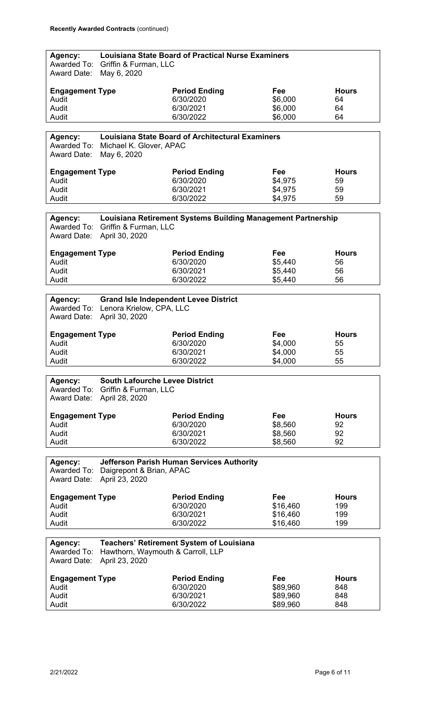| Agency:<br>Awarded To:<br>Award Date:        | Griffin & Furman, LLC<br>May 6, 2020                               | <b>Louisiana State Board of Practical Nurse Examiners</b>    |                           |                          |
|----------------------------------------------|--------------------------------------------------------------------|--------------------------------------------------------------|---------------------------|--------------------------|
| <b>Engagement Type</b><br>Audit<br>Audit     |                                                                    | <b>Period Ending</b><br>6/30/2020<br>6/30/2021               | Fee<br>\$6,000<br>\$6,000 | <b>Hours</b><br>64<br>64 |
| Audit                                        |                                                                    | 6/30/2022                                                    | \$6,000                   | 64                       |
| Agency:                                      |                                                                    | <b>Louisiana State Board of Architectural Examiners</b>      |                           |                          |
| <b>Award Date:</b>                           | Awarded To: Michael K. Glover, APAC<br>May 6, 2020                 |                                                              |                           |                          |
| <b>Engagement Type</b>                       |                                                                    | <b>Period Ending</b>                                         | Fee                       | <b>Hours</b>             |
| Audit                                        |                                                                    | 6/30/2020                                                    | \$4,975                   | 59                       |
| Audit<br>Audit                               |                                                                    | 6/30/2021<br>6/30/2022                                       | \$4,975<br>\$4,975        | 59<br>59                 |
|                                              |                                                                    |                                                              |                           |                          |
| Agency:<br>Awarded To:<br><b>Award Date:</b> | Griffin & Furman, LLC<br>April 30, 2020                            | Louisiana Retirement Systems Building Management Partnership |                           |                          |
| <b>Engagement Type</b>                       |                                                                    | <b>Period Ending</b>                                         | Fee                       | <b>Hours</b>             |
| Audit                                        |                                                                    | 6/30/2020                                                    | \$5,440                   | 56                       |
| Audit                                        |                                                                    | 6/30/2021                                                    | \$5,440                   | 56                       |
| Audit                                        |                                                                    | 6/30/2022                                                    | \$5,440                   | 56                       |
| Agency:                                      |                                                                    | <b>Grand Isle Independent Levee District</b>                 |                           |                          |
|                                              | Awarded To: Lenora Krielow, CPA, LLC<br>Award Date: April 30, 2020 |                                                              |                           |                          |
| <b>Engagement Type</b>                       |                                                                    | <b>Period Ending</b>                                         | Fee                       | <b>Hours</b>             |
| Audit                                        |                                                                    | 6/30/2020                                                    | \$4,000                   | 55                       |
| Audit                                        |                                                                    | 6/30/2021                                                    | \$4,000                   | 55                       |
| Audit                                        |                                                                    | 6/30/2022                                                    | \$4,000                   | 55                       |
| Agency:                                      | <b>South Lafourche Levee District</b>                              |                                                              |                           |                          |
| Awarded To:<br><b>Award Date:</b>            | Griffin & Furman, LLC<br>April 28, 2020                            |                                                              |                           |                          |
| <b>Engagement Type</b>                       |                                                                    | <b>Period Ending</b>                                         | Fee                       | <b>Hours</b>             |
| Audit                                        |                                                                    | 6/30/2020                                                    | \$8,560                   | 92                       |
| Audit                                        |                                                                    | 6/30/2021                                                    | \$8,560                   | 92                       |
| Audit                                        |                                                                    | 6/30/2022                                                    | \$8,560                   | 92                       |
| Agency:<br><b>Award Date:</b>                | Awarded To: Daigrepont & Brian, APAC<br>April 23, 2020             | <b>Jefferson Parish Human Services Authority</b>             |                           |                          |
|                                              |                                                                    |                                                              |                           |                          |
| <b>Engagement Type</b>                       |                                                                    | <b>Period Ending</b>                                         | Fee                       | <b>Hours</b>             |
| Audit                                        |                                                                    | 6/30/2020<br>6/30/2021                                       | \$16,460                  | 199                      |
| Audit<br>Audit                               |                                                                    | 6/30/2022                                                    | \$16,460<br>\$16,460      | 199<br>199               |
|                                              |                                                                    |                                                              |                           |                          |
| Agency:<br>Awarded To:<br><b>Award Date:</b> | Hawthorn, Waymouth & Carroll, LLP<br>April 23, 2020                | <b>Teachers' Retirement System of Louisiana</b>              |                           |                          |
|                                              |                                                                    |                                                              |                           |                          |
| <b>Engagement Type</b><br>Audit              |                                                                    | <b>Period Ending</b><br>6/30/2020                            | Fee<br>\$89,960           | <b>Hours</b><br>848      |
| Audit                                        |                                                                    | 6/30/2021                                                    | \$89,960                  | 848                      |
| Audit                                        |                                                                    | 6/30/2022                                                    | \$89,960                  | 848                      |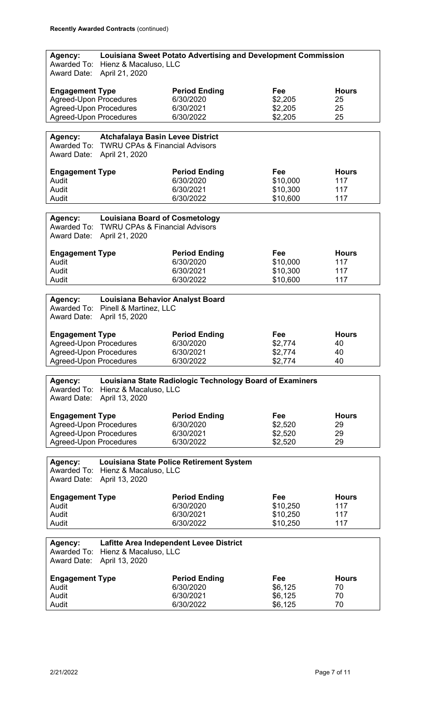| <b>Award Date:</b>                                      | Hienz & Macaluso, LLC<br>April 21, 2020                                                                | <b>Louisiana Sweet Potato Advertising and Development Commission</b> |                      |                    |
|---------------------------------------------------------|--------------------------------------------------------------------------------------------------------|----------------------------------------------------------------------|----------------------|--------------------|
| <b>Engagement Type</b><br><b>Agreed-Upon Procedures</b> |                                                                                                        | <b>Period Ending</b><br>6/30/2020                                    | Fee<br>\$2,205       | <b>Hours</b><br>25 |
| <b>Agreed-Upon Procedures</b>                           |                                                                                                        | 6/30/2021                                                            | \$2,205              | 25                 |
| <b>Agreed-Upon Procedures</b>                           |                                                                                                        | 6/30/2022                                                            | \$2,205              | 25                 |
|                                                         |                                                                                                        |                                                                      |                      |                    |
| Agency:<br>Awarded To:<br><b>Award Date:</b>            | <b>Atchafalaya Basin Levee District</b><br><b>TWRU CPAs &amp; Financial Advisors</b><br>April 21, 2020 |                                                                      |                      |                    |
| <b>Engagement Type</b>                                  |                                                                                                        | <b>Period Ending</b>                                                 | Fee                  | <b>Hours</b>       |
| Audit                                                   |                                                                                                        | 6/30/2020                                                            | \$10,000             | 117                |
| Audit                                                   |                                                                                                        | 6/30/2021                                                            | \$10,300             | 117                |
| Audit                                                   |                                                                                                        | 6/30/2022                                                            | \$10,600             | 117                |
|                                                         |                                                                                                        |                                                                      |                      |                    |
| Agency:                                                 | <b>Louisiana Board of Cosmetology</b>                                                                  |                                                                      |                      |                    |
| Awarded To:<br><b>Award Date:</b>                       | <b>TWRU CPAs &amp; Financial Advisors</b><br>April 21, 2020                                            |                                                                      |                      |                    |
| <b>Engagement Type</b>                                  |                                                                                                        | <b>Period Ending</b>                                                 | Fee                  | <b>Hours</b>       |
| Audit                                                   |                                                                                                        | 6/30/2020                                                            | \$10,000             | 117                |
| Audit                                                   |                                                                                                        | 6/30/2021                                                            | \$10,300             | 117                |
| Audit                                                   |                                                                                                        | 6/30/2022                                                            | \$10,600             | 117                |
|                                                         |                                                                                                        |                                                                      |                      |                    |
| Agency:                                                 | <b>Louisiana Behavior Analyst Board</b>                                                                |                                                                      |                      |                    |
| Awarded To:                                             | Pinell & Martinez, LLC                                                                                 |                                                                      |                      |                    |
| Award Date:                                             | April 15, 2020                                                                                         |                                                                      |                      |                    |
| <b>Engagement Type</b>                                  |                                                                                                        | <b>Period Ending</b>                                                 | Fee                  | <b>Hours</b>       |
| <b>Agreed-Upon Procedures</b>                           |                                                                                                        | 6/30/2020                                                            | \$2,774              | 40                 |
| <b>Agreed-Upon Procedures</b>                           |                                                                                                        | 6/30/2021                                                            | \$2,774              | 40                 |
|                                                         | <b>Agreed-Upon Procedures</b>                                                                          | 6/30/2022                                                            | \$2,774              |                    |
|                                                         |                                                                                                        |                                                                      |                      | 40                 |
|                                                         |                                                                                                        |                                                                      |                      |                    |
| Agency:                                                 |                                                                                                        | Louisiana State Radiologic Technology Board of Examiners             |                      |                    |
| Awarded To:                                             | Hienz & Macaluso, LLC                                                                                  |                                                                      |                      |                    |
| Award Date:                                             | April 13, 2020                                                                                         |                                                                      |                      |                    |
|                                                         |                                                                                                        |                                                                      | Fee                  | <b>Hours</b>       |
| <b>Engagement Type</b><br><b>Agreed-Upon Procedures</b> |                                                                                                        | <b>Period Ending</b><br>6/30/2020                                    | \$2,520              | 29                 |
| <b>Agreed-Upon Procedures</b>                           |                                                                                                        | 6/30/2021                                                            | \$2,520              | 29                 |
| <b>Agreed-Upon Procedures</b>                           |                                                                                                        | 6/30/2022                                                            | \$2,520              | 29                 |
|                                                         |                                                                                                        |                                                                      |                      |                    |
| Agency:                                                 |                                                                                                        | Louisiana State Police Retirement System                             |                      |                    |
| Awarded To:                                             | Hienz & Macaluso, LLC                                                                                  |                                                                      |                      |                    |
| <b>Award Date:</b>                                      | April 13, 2020                                                                                         |                                                                      |                      |                    |
| <b>Engagement Type</b>                                  |                                                                                                        | <b>Period Ending</b>                                                 | Fee                  | <b>Hours</b>       |
| Audit                                                   |                                                                                                        | 6/30/2020                                                            | \$10,250             | 117                |
| Audit<br>Audit                                          |                                                                                                        | 6/30/2021<br>6/30/2022                                               | \$10,250<br>\$10,250 | 117<br>117         |
|                                                         |                                                                                                        |                                                                      |                      |                    |
| Agency:                                                 |                                                                                                        | Lafitte Area Independent Levee District                              |                      |                    |
| Awarded To:                                             | Hienz & Macaluso, LLC                                                                                  |                                                                      |                      |                    |
| Award Date:                                             | April 13, 2020                                                                                         |                                                                      |                      |                    |
|                                                         |                                                                                                        |                                                                      |                      |                    |
| <b>Engagement Type</b>                                  |                                                                                                        | <b>Period Ending</b>                                                 | Fee                  | <b>Hours</b>       |
| Audit                                                   |                                                                                                        | 6/30/2020                                                            | \$6,125              | 70                 |
| Audit<br>Audit                                          |                                                                                                        | 6/30/2021<br>6/30/2022                                               | \$6,125<br>\$6,125   | 70<br>70           |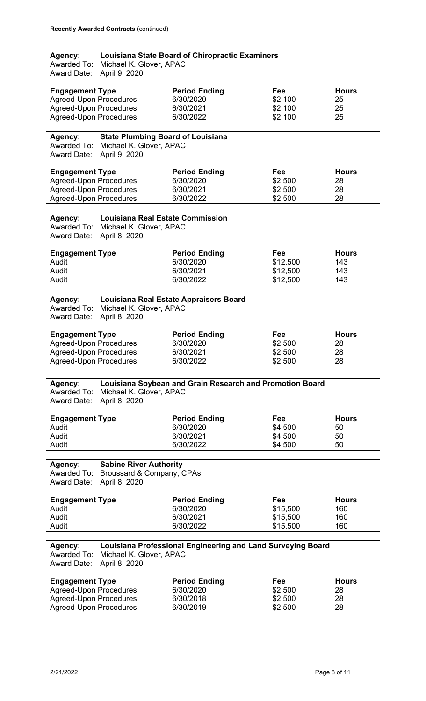| Agency:<br>Awarded To:<br><b>Award Date:</b> | Michael K. Glover, APAC<br>April 9, 2020 | Louisiana State Board of Chiropractic Examiners             |          |              |
|----------------------------------------------|------------------------------------------|-------------------------------------------------------------|----------|--------------|
| <b>Engagement Type</b>                       |                                          | <b>Period Ending</b>                                        | Fee      | <b>Hours</b> |
| <b>Agreed-Upon Procedures</b>                |                                          | 6/30/2020                                                   | \$2,100  | 25           |
| <b>Agreed-Upon Procedures</b>                |                                          | 6/30/2021                                                   | \$2,100  | 25           |
| <b>Agreed-Upon Procedures</b>                |                                          | 6/30/2022                                                   | \$2,100  | 25           |
|                                              |                                          |                                                             |          |              |
| Agency:                                      | <b>State Plumbing Board of Louisiana</b> |                                                             |          |              |
| Awarded To:<br>Award Date:                   | Michael K. Glover, APAC<br>April 9, 2020 |                                                             |          |              |
| <b>Engagement Type</b>                       |                                          | <b>Period Ending</b>                                        | Fee      | <b>Hours</b> |
| <b>Agreed-Upon Procedures</b>                |                                          | 6/30/2020                                                   | \$2,500  | 28           |
| <b>Agreed-Upon Procedures</b>                |                                          | 6/30/2021                                                   | \$2,500  | 28           |
| <b>Agreed-Upon Procedures</b>                |                                          | 6/30/2022                                                   | \$2,500  | 28           |
|                                              |                                          |                                                             |          |              |
| Agency:                                      | <b>Louisiana Real Estate Commission</b>  |                                                             |          |              |
| Awarded To:                                  | Michael K. Glover, APAC                  |                                                             |          |              |
| <b>Award Date:</b>                           | April 8, 2020                            |                                                             |          |              |
| <b>Engagement Type</b>                       |                                          | <b>Period Ending</b>                                        | Fee      | <b>Hours</b> |
| Audit                                        |                                          | 6/30/2020                                                   | \$12,500 | 143          |
| Audit                                        |                                          | 6/30/2021                                                   | \$12,500 | 143          |
| Audit                                        |                                          | 6/30/2022                                                   | \$12,500 | 143          |
|                                              |                                          |                                                             |          |              |
| Agency:                                      |                                          | Louisiana Real Estate Appraisers Board                      |          |              |
| Awarded To:                                  | Michael K. Glover, APAC                  |                                                             |          |              |
| <b>Award Date:</b>                           | April 8, 2020                            |                                                             |          |              |
|                                              |                                          |                                                             |          |              |
| <b>Engagement Type</b>                       |                                          | <b>Period Ending</b>                                        | Fee      | <b>Hours</b> |
| <b>Agreed-Upon Procedures</b>                |                                          | 6/30/2020                                                   | \$2,500  | 28           |
| <b>Agreed-Upon Procedures</b>                |                                          | 6/30/2021                                                   | \$2,500  | 28           |
| <b>Agreed-Upon Procedures</b>                |                                          | 6/30/2022                                                   | \$2,500  | 28           |
|                                              |                                          |                                                             |          |              |
| Agency:                                      |                                          | Louisiana Soybean and Grain Research and Promotion Board    |          |              |
| Awarded To:                                  | Michael K. Glover, APAC                  |                                                             |          |              |
| <b>Award Date:</b>                           | April 8, 2020                            |                                                             |          |              |
|                                              |                                          |                                                             |          |              |
| <b>Engagement Type</b>                       |                                          | <b>Period Ending</b>                                        | Fee      | <b>Hours</b> |
| Audit                                        |                                          | 6/30/2020                                                   | \$4,500  | 50           |
| Audit                                        |                                          | 6/30/2021                                                   | \$4,500  | 50           |
| Audit                                        |                                          | 6/30/2022                                                   | \$4,500  | 50           |
|                                              |                                          |                                                             |          |              |
| Agency:                                      | <b>Sabine River Authority</b>            |                                                             |          |              |
| Awarded To:                                  | Broussard & Company, CPAs                |                                                             |          |              |
| <b>Award Date:</b>                           | April 8, 2020                            |                                                             |          |              |
| <b>Engagement Type</b>                       |                                          | <b>Period Ending</b>                                        | Fee      | <b>Hours</b> |
| Audit                                        |                                          | 6/30/2020                                                   | \$15,500 | 160          |
| Audit                                        |                                          | 6/30/2021                                                   | \$15,500 | 160          |
| Audit                                        |                                          |                                                             |          |              |
|                                              |                                          |                                                             |          |              |
|                                              |                                          | 6/30/2022                                                   | \$15,500 | 160          |
|                                              |                                          |                                                             |          |              |
| Agency:                                      |                                          | Louisiana Professional Engineering and Land Surveying Board |          |              |
| Awarded To:                                  | Michael K. Glover, APAC                  |                                                             |          |              |
| <b>Award Date:</b>                           | April 8, 2020                            |                                                             |          |              |
| <b>Engagement Type</b>                       |                                          | <b>Period Ending</b>                                        | Fee      | <b>Hours</b> |
| <b>Agreed-Upon Procedures</b>                |                                          | 6/30/2020                                                   | \$2,500  | 28           |
| <b>Agreed-Upon Procedures</b>                |                                          | 6/30/2018                                                   | \$2,500  | 28           |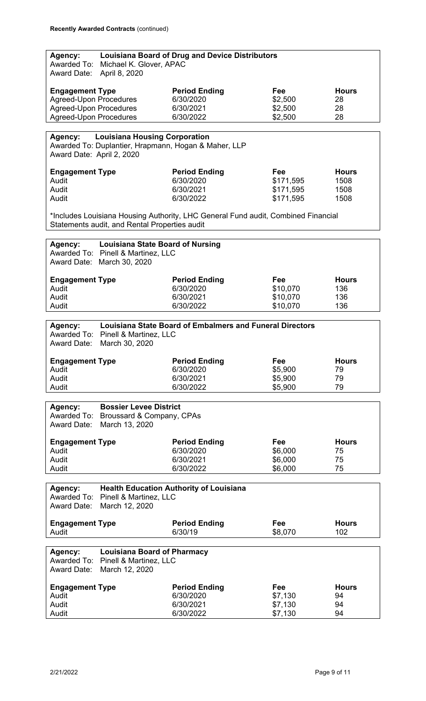| Agency:<br><b>Award Date:</b>               | Awarded To: Michael K. Glover, APAC<br>April 8, 2020             | <b>Louisiana Board of Drug and Device Distributors</b>                            |           |              |
|---------------------------------------------|------------------------------------------------------------------|-----------------------------------------------------------------------------------|-----------|--------------|
|                                             |                                                                  |                                                                                   |           |              |
| <b>Engagement Type</b>                      |                                                                  | <b>Period Ending</b>                                                              | Fee       | <b>Hours</b> |
| <b>Agreed-Upon Procedures</b>               |                                                                  | 6/30/2020                                                                         | \$2,500   | 28           |
| <b>Agreed-Upon Procedures</b>               |                                                                  | 6/30/2021                                                                         | \$2,500   | 28           |
| <b>Agreed-Upon Procedures</b>               |                                                                  | 6/30/2022                                                                         | \$2,500   | 28           |
|                                             |                                                                  |                                                                                   |           |              |
| <b>Agency:</b><br>Award Date: April 2, 2020 | <b>Louisiana Housing Corporation</b>                             | Awarded To: Duplantier, Hrapmann, Hogan & Maher, LLP                              |           |              |
| <b>Engagement Type</b>                      |                                                                  | <b>Period Ending</b>                                                              | Fee       | <b>Hours</b> |
| Audit                                       |                                                                  | 6/30/2020                                                                         | \$171,595 | 1508         |
| Audit                                       |                                                                  | 6/30/2021                                                                         | \$171,595 | 1508         |
| Audit                                       |                                                                  | 6/30/2022                                                                         | \$171,595 | 1508         |
|                                             |                                                                  |                                                                                   |           |              |
|                                             | Statements audit, and Rental Properties audit                    | *Includes Louisiana Housing Authority, LHC General Fund audit, Combined Financial |           |              |
|                                             |                                                                  |                                                                                   |           |              |
| Agency:                                     | <b>Louisiana State Board of Nursing</b>                          |                                                                                   |           |              |
|                                             | Awarded To: Pinell & Martinez, LLC<br>Award Date: March 30, 2020 |                                                                                   |           |              |
| <b>Engagement Type</b>                      |                                                                  | <b>Period Ending</b>                                                              | Fee       | <b>Hours</b> |
| Audit                                       |                                                                  | 6/30/2020                                                                         | \$10,070  | 136          |
| Audit                                       |                                                                  | 6/30/2021                                                                         | \$10,070  | 136          |
|                                             |                                                                  |                                                                                   |           |              |
| Audit                                       |                                                                  | 6/30/2022                                                                         | \$10,070  | 136          |
|                                             |                                                                  |                                                                                   |           |              |
| Agency:                                     |                                                                  | <b>Louisiana State Board of Embalmers and Funeral Directors</b>                   |           |              |
| Awarded To:                                 | Pinell & Martinez, LLC                                           |                                                                                   |           |              |
| <b>Award Date:</b>                          | March 30, 2020                                                   |                                                                                   |           |              |
|                                             |                                                                  |                                                                                   |           |              |
| <b>Engagement Type</b>                      |                                                                  | <b>Period Ending</b>                                                              | Fee       | <b>Hours</b> |
| Audit                                       |                                                                  | 6/30/2020                                                                         | \$5,900   | 79           |
| Audit                                       |                                                                  | 6/30/2021                                                                         | \$5,900   | 79           |
| Audit                                       |                                                                  | 6/30/2022                                                                         | \$5,900   | 79           |
|                                             |                                                                  |                                                                                   |           |              |
|                                             |                                                                  |                                                                                   |           |              |
| Agency:                                     | <b>Bossier Levee District</b>                                    |                                                                                   |           |              |
| Awarded To:                                 | Broussard & Company, CPAs                                        |                                                                                   |           |              |
| <b>Award Date:</b>                          | March 13, 2020                                                   |                                                                                   |           |              |
|                                             |                                                                  |                                                                                   |           |              |
| <b>Engagement Type</b>                      |                                                                  | <b>Period Ending</b>                                                              | Fee       | <b>Hours</b> |
| Audit                                       |                                                                  | 6/30/2020                                                                         | \$6,000   | 75           |
| Audit                                       |                                                                  | 6/30/2021                                                                         | \$6,000   | 75           |
| Audit                                       |                                                                  | 6/30/2022                                                                         | \$6,000   | 75           |
|                                             |                                                                  |                                                                                   |           |              |
| Agency:                                     |                                                                  | <b>Health Education Authority of Louisiana</b>                                    |           |              |
| Awarded To:                                 | Pinell & Martinez, LLC                                           |                                                                                   |           |              |
|                                             |                                                                  |                                                                                   |           |              |
| <b>Award Date:</b>                          | March 12, 2020                                                   |                                                                                   |           |              |
|                                             |                                                                  |                                                                                   |           | <b>Hours</b> |
| <b>Engagement Type</b>                      |                                                                  | <b>Period Ending</b>                                                              | Fee       |              |
| Audit                                       |                                                                  | 6/30/19                                                                           | \$8,070   | 102          |
|                                             |                                                                  |                                                                                   |           |              |
| Agency:                                     | <b>Louisiana Board of Pharmacy</b>                               |                                                                                   |           |              |
| Awarded To:                                 | Pinell & Martinez, LLC                                           |                                                                                   |           |              |
| <b>Award Date:</b>                          | March 12, 2020                                                   |                                                                                   |           |              |
|                                             |                                                                  |                                                                                   |           |              |
| <b>Engagement Type</b>                      |                                                                  | <b>Period Ending</b>                                                              | Fee       | <b>Hours</b> |
| Audit                                       |                                                                  | 6/30/2020                                                                         | \$7,130   | 94           |
| Audit                                       |                                                                  | 6/30/2021                                                                         | \$7,130   | 94           |
| Audit                                       |                                                                  | 6/30/2022                                                                         | \$7,130   | 94           |
|                                             |                                                                  |                                                                                   |           |              |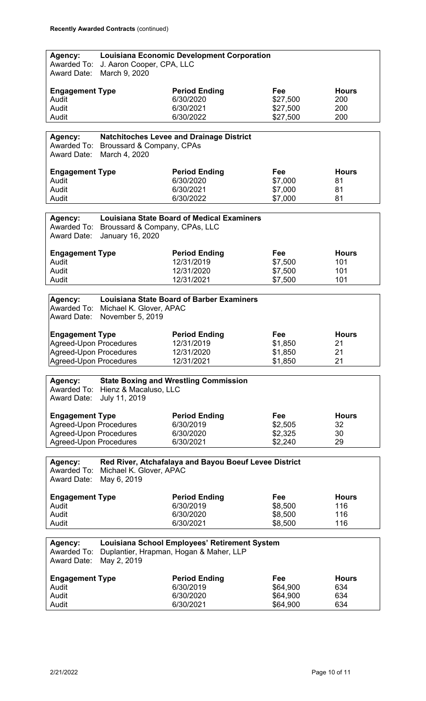| Agency:                                                        |                                                    | <b>Louisiana Economic Development Corporation</b>     |                      |              |
|----------------------------------------------------------------|----------------------------------------------------|-------------------------------------------------------|----------------------|--------------|
| Awarded To:<br><b>Award Date:</b>                              | J. Aaron Cooper, CPA, LLC<br>March 9, 2020         |                                                       |                      |              |
|                                                                |                                                    |                                                       |                      |              |
| <b>Engagement Type</b>                                         |                                                    | <b>Period Ending</b>                                  | Fee                  | <b>Hours</b> |
| Audit                                                          |                                                    | 6/30/2020                                             | \$27,500             | 200          |
| Audit                                                          |                                                    | 6/30/2021                                             | \$27,500             | 200          |
| Audit                                                          |                                                    | 6/30/2022                                             | \$27,500             | 200          |
|                                                                |                                                    |                                                       |                      |              |
| Agency:                                                        |                                                    | <b>Natchitoches Levee and Drainage District</b>       |                      |              |
| Awarded To:<br><b>Award Date:</b>                              | Broussard & Company, CPAs<br>March 4, 2020         |                                                       |                      |              |
|                                                                |                                                    |                                                       |                      |              |
| <b>Engagement Type</b>                                         |                                                    | <b>Period Ending</b>                                  | Fee                  | <b>Hours</b> |
| Audit                                                          |                                                    | 6/30/2020                                             | \$7,000              | 81           |
| Audit                                                          |                                                    | 6/30/2021                                             | \$7,000              | 81           |
| Audit                                                          |                                                    | 6/30/2022                                             | \$7,000              | 81           |
|                                                                |                                                    |                                                       |                      |              |
| Agency:<br>Awarded To:                                         |                                                    | <b>Louisiana State Board of Medical Examiners</b>     |                      |              |
| <b>Award Date:</b>                                             | Broussard & Company, CPAs, LLC<br>January 16, 2020 |                                                       |                      |              |
|                                                                |                                                    |                                                       |                      |              |
| <b>Engagement Type</b>                                         |                                                    | <b>Period Ending</b>                                  | Fee                  | <b>Hours</b> |
| Audit                                                          |                                                    | 12/31/2019                                            | \$7,500              | 101          |
| Audit                                                          |                                                    | 12/31/2020                                            | \$7,500              | 101          |
| Audit                                                          |                                                    | 12/31/2021                                            | \$7,500              | 101          |
|                                                                |                                                    |                                                       |                      |              |
| Agency:                                                        |                                                    | <b>Louisiana State Board of Barber Examiners</b>      |                      |              |
|                                                                | Awarded To: Michael K. Glover, APAC                |                                                       |                      |              |
| Award Date:                                                    | November 5, 2019                                   |                                                       |                      |              |
|                                                                |                                                    |                                                       |                      |              |
| <b>Engagement Type</b>                                         |                                                    | <b>Period Ending</b>                                  | Fee                  | <b>Hours</b> |
|                                                                |                                                    |                                                       |                      |              |
|                                                                |                                                    | 12/31/2019                                            | \$1,850              | 21           |
| <b>Agreed-Upon Procedures</b><br><b>Agreed-Upon Procedures</b> |                                                    | 12/31/2020                                            | \$1,850              | 21           |
| Agreed-Upon Procedures                                         |                                                    | 12/31/2021                                            | \$1,850              | 21           |
|                                                                |                                                    |                                                       |                      |              |
| Agency:                                                        |                                                    | <b>State Boxing and Wrestling Commission</b>          |                      |              |
| Awarded To:                                                    | Hienz & Macaluso, LLC                              |                                                       |                      |              |
| <b>Award Date:</b>                                             | July 11, 2019                                      |                                                       |                      |              |
|                                                                |                                                    |                                                       |                      |              |
| <b>Engagement Type</b>                                         |                                                    | <b>Period Ending</b>                                  | Fee                  | <b>Hours</b> |
| <b>Agreed-Upon Procedures</b>                                  |                                                    | 6/30/2019                                             | \$2,505              | 32           |
| <b>Agreed-Upon Procedures</b>                                  |                                                    | 6/30/2020                                             | \$2,325              | 30           |
| <b>Agreed-Upon Procedures</b>                                  |                                                    | 6/30/2021                                             | \$2,240              | 29           |
|                                                                |                                                    |                                                       |                      |              |
| Agency:                                                        |                                                    | Red River, Atchafalaya and Bayou Boeuf Levee District |                      |              |
| Awarded To:                                                    | Michael K. Glover, APAC                            |                                                       |                      |              |
| <b>Award Date:</b>                                             | May 6, 2019                                        |                                                       |                      |              |
| <b>Engagement Type</b>                                         |                                                    | <b>Period Ending</b>                                  | Fee                  | <b>Hours</b> |
| Audit                                                          |                                                    | 6/30/2019                                             | \$8,500              | 116          |
| Audit                                                          |                                                    | 6/30/2020                                             | \$8,500              | 116          |
| Audit                                                          |                                                    | 6/30/2021                                             | \$8,500              | 116          |
|                                                                |                                                    |                                                       |                      |              |
| Agency:                                                        |                                                    | Louisiana School Employees' Retirement System         |                      |              |
| Awarded To:                                                    |                                                    | Duplantier, Hrapman, Hogan & Maher, LLP               |                      |              |
| <b>Award Date:</b>                                             | May 2, 2019                                        |                                                       |                      |              |
|                                                                |                                                    | <b>Period Ending</b>                                  | Fee                  | <b>Hours</b> |
| <b>Engagement Type</b><br>Audit                                |                                                    | 6/30/2019                                             |                      | 634          |
| Audit                                                          |                                                    | 6/30/2020                                             | \$64,900<br>\$64,900 | 634          |